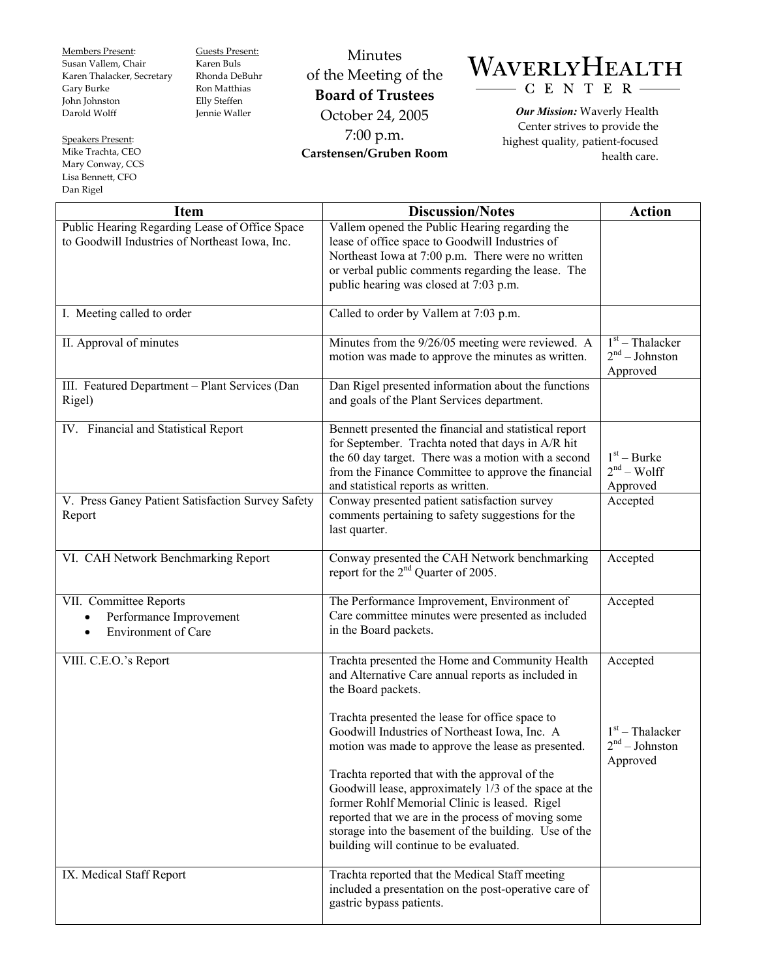Members Present: Susan Vallem, Chair Karen Thalacker, Secretary Gary Burke John Johnston Darold Wolff

Speakers Present: Mike Trachta, CEO Mary Conway, CCS Lisa Bennett, CFO Dan Rigel

Guests Present: Karen Buls Rhonda DeBuhr Ron Matthias Elly Steffen Jennie Waller

Minutes of the Meeting of the **Board of Trustees**  October 24, 2005 7:00 p.m. **Carstensen/Gruben Room** 

## WAVERLYHEALTH  $-C E N T E R$

*Our Mission:* Waverly Health Center strives to provide the highest quality, patient-focused health care.

| <b>Item</b>                                                                                      | <b>Discussion/Notes</b>                                                                                                                                                                                                                                                                                            | <b>Action</b>                                     |
|--------------------------------------------------------------------------------------------------|--------------------------------------------------------------------------------------------------------------------------------------------------------------------------------------------------------------------------------------------------------------------------------------------------------------------|---------------------------------------------------|
| Public Hearing Regarding Lease of Office Space<br>to Goodwill Industries of Northeast Iowa, Inc. | Vallem opened the Public Hearing regarding the<br>lease of office space to Goodwill Industries of<br>Northeast Iowa at 7:00 p.m. There were no written<br>or verbal public comments regarding the lease. The<br>public hearing was closed at 7:03 p.m.                                                             |                                                   |
| I. Meeting called to order                                                                       | Called to order by Vallem at 7:03 p.m.                                                                                                                                                                                                                                                                             |                                                   |
| II. Approval of minutes                                                                          | Minutes from the 9/26/05 meeting were reviewed. A<br>motion was made to approve the minutes as written.                                                                                                                                                                                                            | $1st$ – Thalacker<br>$2nd - Johnston$<br>Approved |
| III. Featured Department - Plant Services (Dan<br>Rigel)                                         | Dan Rigel presented information about the functions<br>and goals of the Plant Services department.                                                                                                                                                                                                                 |                                                   |
| IV. Financial and Statistical Report                                                             | Bennett presented the financial and statistical report<br>for September. Trachta noted that days in A/R hit<br>the 60 day target. There was a motion with a second<br>from the Finance Committee to approve the financial<br>and statistical reports as written.                                                   | $1st - Burke$<br>$2nd - Wolf$<br>Approved         |
| V. Press Ganey Patient Satisfaction Survey Safety<br>Report                                      | Conway presented patient satisfaction survey<br>comments pertaining to safety suggestions for the<br>last quarter.                                                                                                                                                                                                 | Accepted                                          |
| VI. CAH Network Benchmarking Report                                                              | Conway presented the CAH Network benchmarking<br>report for the 2 <sup>nd</sup> Quarter of 2005.                                                                                                                                                                                                                   | Accepted                                          |
| VII. Committee Reports<br>Performance Improvement<br><b>Environment</b> of Care<br>$\bullet$     | The Performance Improvement, Environment of<br>Care committee minutes were presented as included<br>in the Board packets.                                                                                                                                                                                          | Accepted                                          |
| VIII. C.E.O.'s Report                                                                            | Trachta presented the Home and Community Health<br>and Alternative Care annual reports as included in<br>the Board packets.                                                                                                                                                                                        | Accepted                                          |
|                                                                                                  | Trachta presented the lease for office space to<br>Goodwill Industries of Northeast Iowa, Inc. A<br>motion was made to approve the lease as presented.                                                                                                                                                             | $1st$ – Thalacker<br>$2nd - Johnston$<br>Approved |
|                                                                                                  | Trachta reported that with the approval of the<br>Goodwill lease, approximately 1/3 of the space at the<br>former Rohlf Memorial Clinic is leased. Rigel<br>reported that we are in the process of moving some<br>storage into the basement of the building. Use of the<br>building will continue to be evaluated. |                                                   |
| IX. Medical Staff Report                                                                         | Trachta reported that the Medical Staff meeting<br>included a presentation on the post-operative care of<br>gastric bypass patients.                                                                                                                                                                               |                                                   |